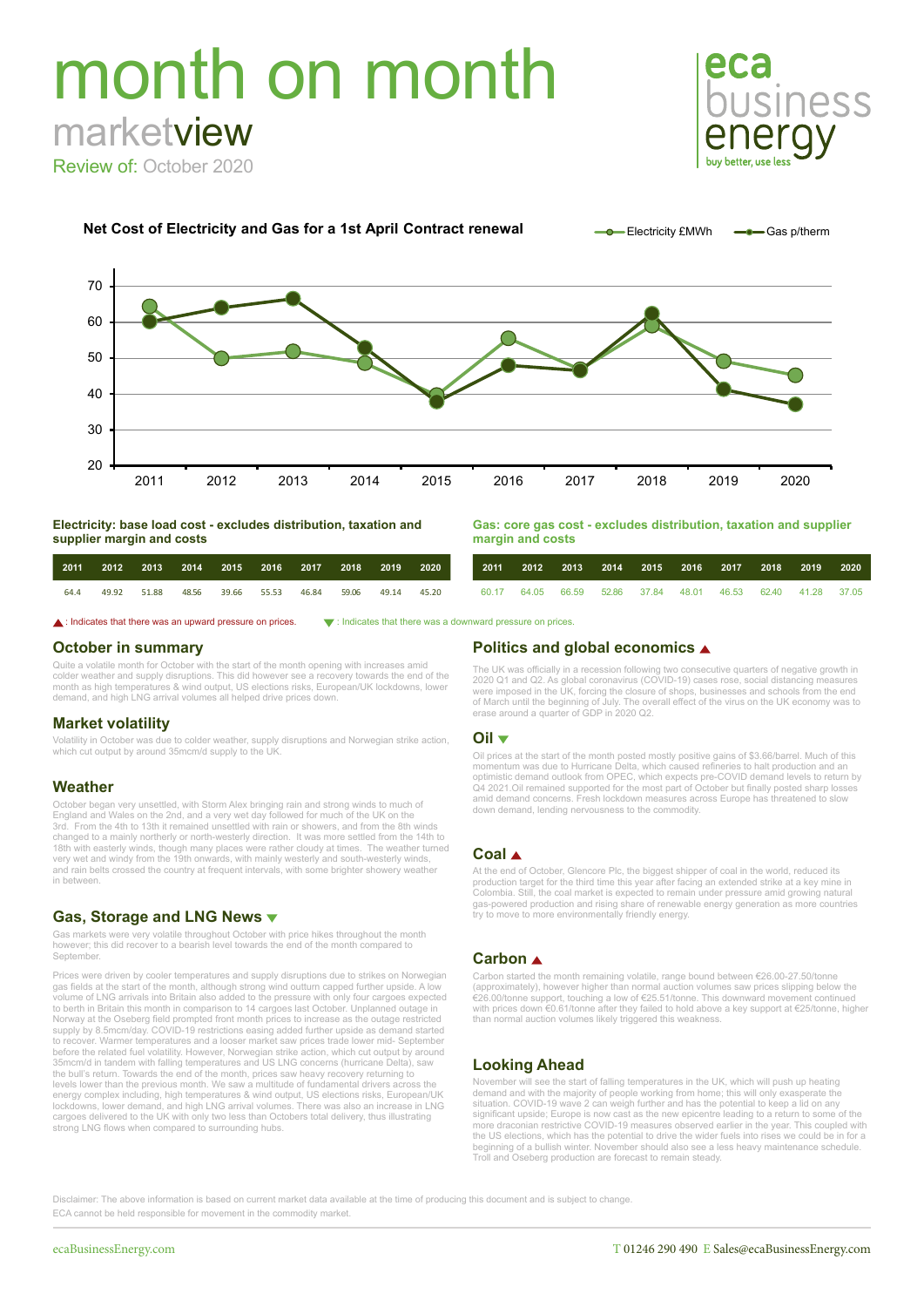# month on month marketview

Review of: October 2020





**Electricity: base load cost - excludes distribution, taxation and supplier margin and costs**

| Gas: core gas cost - excludes distribution, taxation and supplier |  |  |
|-------------------------------------------------------------------|--|--|
| margin and costs                                                  |  |  |

| 2011 | 2012 2013 2014 2015 2016 2017 2018 2019 |                   |  |                   | 2020 | 2011 |  |  | 2012 2013 2014 2015 2016 2017 2018 2019                     |  | 2020 |
|------|-----------------------------------------|-------------------|--|-------------------|------|------|--|--|-------------------------------------------------------------|--|------|
| 64.4 | 49.92 51.88 48.56                       | 39.66 55.53 46.84 |  | 59.06 49.14 45.20 |      |      |  |  | 60.17 64.05 66.59 52.86 37.84 48.01 46.53 62.40 41.28 37.05 |  |      |

**△**: Indicates that there was an upward pressure on prices.  $\bullet$ : Indicates that there was a downward pressure on prices

### **October in summary**

Quite a volatile month for October with the start of the month opening with increases amid colder weather and supply disruptions. This did however see a recovery towards the end of the<br>month as high temperatures & wind output, US elections risks, European/UK lockdowns, lower<br>demand, and high LNG arrival volumes

### **Market volatility**

Volatility in October was due to colder weather, supply disruptions and Norwegian strike action, which cut output by around 35mcm/d supply to the UK.

### **Weather**

October began very unsettled, with Storm Alex bringing rain and strong winds to much of<br>England and Wales on the 2nd, and a very wet day followed for much of the UK on the<br>3rd. From the 4th to 13th it remained unsettled wi 18th with easterly winds, though many places were rather cloudy at times. The weather turned<br>very wet and windy from the 19th onwards, with mainly westerly and south-westerly winds,<br>and rain belts crossed the country at f in between.

### **Gas, Storage and LNG News**

Gas markets were very volatile throughout October with price hikes throughout the month however; this did recover to a bearish level towards the end of the month compared to September.

Prices were driven by cooler temperatures and supply disruptions due to strikes on Norwegian gas fields at the start of the month, although strong wind outturn capped further upside. A low volume of LNG arrivals into Britain also added to the pressure with only four cargoes expected to berth in Britain this month in comparison to 14 cargoes last October. Unplanned outage in Norway at the Oseberg field prompted front month prices to increase as the outage restricted supply by 8.5mcm/day. COVID-19 restrictions easing added further upside as demand started to recover. Warmer temperatures and a looser market saw prices trade lower mid- September before the related fuel volatility. However, Norwegian strike action, which cut output by around 35mcm/d in tandem with falling temperatures and US LNG concerns (hurricane Delta), saw the bull's return. Towards the end of the month, prices saw heavy recovery returning to levels lower than the previous month. We saw a multitude of fundamental drivers across the energy complex including, high temperatures & wind output, US elections risks, European/UK lockdowns, lower demand, and high LNG arrival volumes. There was also an increase in LNG cargoes delivered to the UK with only two less than Octobers total delivery, thus illustrating strong LNG flows when compared to surrounding hubs.

### **Politics and global economics**

The UK was officially in a recession following two consecutive quarters of negative growth in 2020 Q1 and Q2. As global coronavirus (COVID-19) cases rose, social distancing measures were imposed in the UK, forcing the closure of shops, businesses and schools from the end<br>of March until the beginning of July. The overall effect of the virus on the UK economy was to<br>erase around a quarter of GDP in 2020

### **Oil**

Oil prices at the start of the month posted mostly positive gains of \$3.66/barrel. Much of this momentum was due to Hurricane Delta, which caused refineries to halt production and an optimistic demand outlook from OPEC, wh down demand, lending nervousness to the commodity.

### **Coal**

At the end of October, Glencore Plc, the biggest shipper of coal in the world, reduced its production target for the third time this year after facing an extended strike at a key mine in Colombia. Still, the coal market is expected to remain under pressure amid growing natural gas-powered production and rising share of renewable energy generation as more countries try to move to more environmentally friendly energy.

### **Carbon**

Carbon started the month remaining volatile, range bound between €26.00-27.50/tonne (approximately), however higher than normal auction volumes saw prices slipping below the €26.00/tonne support, touching a low of €25.51/tonne. This downward movement continued with prices down €0.61/tonne after they failed to hold above a key support at €25/tonne, higher than normal auction volumes likely triggered this weakness.

## **Looking Ahead**

November will see the start of falling temperatures in the UK, which will push up heating demand and with the majority of people working from home; this will only exasperate the situation. COVID-19 wave 2 can weigh further and has the potential to keep a lid on any significant upside; Europe is now cast as the new epicentre leading to a return to some of the more draconian restrictive COVID-19 measures observed earlier in the year. This coupled with the US elections, which has the potential to drive the wider fuels into rises we could be in for a beginning of a bullish winter. November should also see a less heavy maintenance schedule. Troll and Oseberg production are forecast to remain steady.

Disclaimer: The above information is based on current market data available at the time of producing this document and is subject to change. ECA cannot be held responsible for movement in the commodity market.